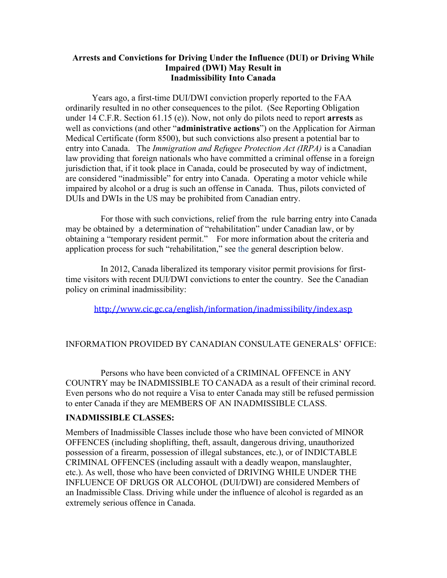## **Arrests and Convictions for Driving Under the Influence (DUI) or Driving While Impaired (DWI) May Result in Inadmissibility Into Canada**

 Years ago, a first-time DUI/DWI conviction properly reported to the FAA ordinarily resulted in no other consequences to the pilot. (See Reporting Obligation under 14 C.F.R. Section 61.15 (e)). Now, not only do pilots need to report **arrests** as well as convictions (and other "**administrative actions**") on the Application for Airman Medical Certificate (form 8500), but such convictions also present a potential bar to entry into Canada. The *Immigration and Refugee Protection Act (IRPA)* is a Canadian law providing that foreign nationals who have committed a criminal offense in a foreign jurisdiction that, if it took place in Canada, could be prosecuted by way of indictment, are considered "inadmissible" for entry into Canada. Operating a motor vehicle while impaired by alcohol or a drug is such an offense in Canada. Thus, pilots convicted of DUIs and DWIs in the US may be prohibited from Canadian entry.

For those with such convictions, relief from the rule barring entry into Canada may be obtained by a determination of "rehabilitation" under Canadian law, or by obtaining a "temporary resident permit." For more information about the criteria and application process for such "rehabilitation," see the general description below.

In 2012, Canada liberalized its temporary visitor permit provisions for firsttime visitors with recent DUI/DWI convictions to enter the country. See the Canadian policy on criminal inadmissibility:

http://www.cic.gc.ca/english/information/inadmissibility/index.asp

## INFORMATION PROVIDED BY CANADIAN CONSULATE GENERALS' OFFICE:

Persons who have been convicted of a CRIMINAL OFFENCE in ANY COUNTRY may be INADMISSIBLE TO CANADA as a result of their criminal record. Even persons who do not require a Visa to enter Canada may still be refused permission to enter Canada if they are MEMBERS OF AN INADMISSIBLE CLASS.

## **INADMISSIBLE CLASSES:**

Members of Inadmissible Classes include those who have been convicted of MINOR OFFENCES (including shoplifting, theft, assault, dangerous driving, unauthorized possession of a firearm, possession of illegal substances, etc.), or of INDICTABLE CRIMINAL OFFENCES (including assault with a deadly weapon, manslaughter, etc.). As well, those who have been convicted of DRIVING WHILE UNDER THE INFLUENCE OF DRUGS OR ALCOHOL (DUI/DWI) are considered Members of an Inadmissible Class. Driving while under the influence of alcohol is regarded as an extremely serious offence in Canada.